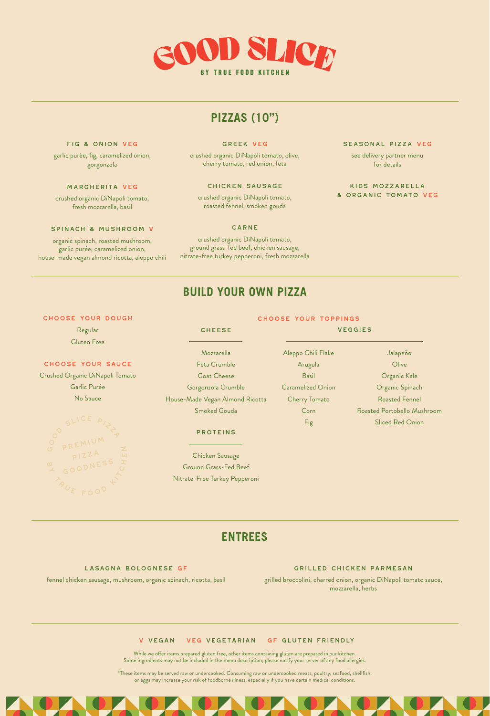

# **PIZZAS (10")**

### Fig & Onion VEG

garlic purée, fig, caramelized onion, gorgonzola

## Margherita VEG

crushed organic DiNapoli tomato, fresh mozzarella, basil

#### Spinach & Mushroom V

organic spinach, roasted mushroom, garlic purée, caramelized onion, house-made vegan almond ricotta, aleppo chili

#### Greek VEG

crushed organic DiNapoli tomato, olive, cherry tomato, red onion, feta

### Chicken Sausage

crushed organic DiNapoli tomato, roasted fennel, smoked gouda

#### CARNE

crushed organic DiNapoli tomato, ground grass-fed beef, chicken sausage, nitrate-free turkey pepperoni, fresh mozzarella

# SEASONAL PIZZA VEG

see delivery partner menu for details

## Kids Mozzarella & Organic Tomato VEG

# **BUILD YOUR OWN PIZZA**

#### Choose Your Dough

Regular Gluten Free

# Choose Your Sauce

Crushed Organic DiNapoli Tomato Garlic Purée No Sauce

#### **CHEESE**

Mozzarella Feta Crumble Goat Cheese Gorgonzola Crumble House-Made Vegan Almond Ricotta Smoked Gouda

### proteins

Chicken Sausage Ground Grass-Fed Beef Nitrate-Free Turkey Pepperoni

### Choose Your Toppings

Aleppo Chili Flake Arugula Basil Caramelized Onion Cherry Tomato Corn Fig veggies

# Jalapeño **Olive** Organic Kale Organic Spinach Roasted Fennel Roasted Portobello Mushroom Sliced Red Onion

**ENTREES**

# Lasagna Bolognese GF fennel chicken sausage, mushroom, organic spinach, ricotta, basil

#### Grilled Chicken Parmesan

grilled broccolini, charred onion, organic DiNapoli tomato sauce, mozzarella, herbs

### V Vegan VEG Vegetarian GF Gluten Friendly

While we offer items prepared gluten free, other items containing gluten are prepared in our kitchen. Some ingredients may not be included in the menu description; please notify your server of any food allergies.

\*These items may be served raw or undercooked. Consuming raw or undercooked meats, poultry, seafood, shellfish, or eggs may increase your risk of foodborne illness, especially if you have certain medical conditions.